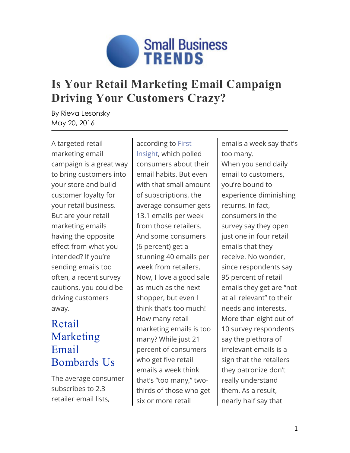

# **Is Your Retail Marketing Email Campaign Driving Your Customers Crazy?**

By Rieva Lesonsky May 20, 2016

A targeted retail marketing email campaign is a great way to bring customers into your store and build customer loyalty for your retail business. But are your retail marketing emails having the opposite effect from what you intended? If you're sending emails too often, a recent survey cautions, you could be driving customers away.

### Retail Marketing Email Bombards Us

The average consumer subscribes to 2.3 retailer email lists,

according to [First](http://info.firstinsight.com/retail-email-overload-report-download) [Insight,](http://info.firstinsight.com/retail-email-overload-report-download) which polled consumers about their email habits. But even with that small amount of subscriptions, the average consumer gets 13.1 emails per week from those retailers. And some consumers (6 percent) get a stunning 40 emails per week from retailers. Now, I love a good sale as much as the next shopper, but even I think that's too much! How many retail marketing emails is too many? While just 21 percent of consumers who get five retail emails a week think that's "too many," twothirds of those who get six or more retail

emails a week say that's too many. When you send daily email to customers, you're bound to experience diminishing returns. In fact, consumers in the survey say they open just one in four retail emails that they receive. No wonder, since respondents say 95 percent of retail emails they get are "not at all relevant" to their needs and interests. More than eight out of 10 survey respondents say the plethora of irrelevant emails is a sign that the retailers they patronize don't really understand them. As a result, nearly half say that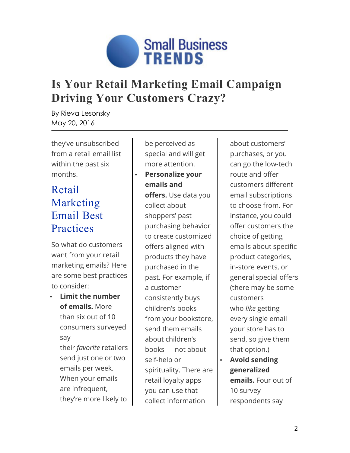

# **Is Your Retail Marketing Email Campaign Driving Your Customers Crazy?**

By Rieva Lesonsky May 20, 2016

they've unsubscribed from a retail email list within the past six months.

### Retail Marketing Email Best **Practices**

So what do customers want from your retail marketing emails? Here are some best practices to consider:

• **Limit the number of emails.** More than six out of 10 consumers surveyed say their *favorite* retailers send just one or two emails per week. When your emails are infrequent, they're more likely to

be perceived as special and will get more attention.

#### • **Personalize your emails and offers.** Use data you collect about shoppers' past purchasing behavior to create customized offers aligned with products they have purchased in the past. For example, if a customer consistently buys children's books from your bookstore, send them emails about children's books — not about self-help or spirituality. There are retail loyalty apps you can use that collect information

about customers' purchases, or you can go the low-tech route and offer customers different email subscriptions to choose from. For instance, you could offer customers the choice of getting emails about specific product categories, in-store events, or general special offers (there may be some customers who *like* getting every single email your store has to send, so give them that option.)

• **Avoid sending generalized emails.** Four out of 10 survey respondents say